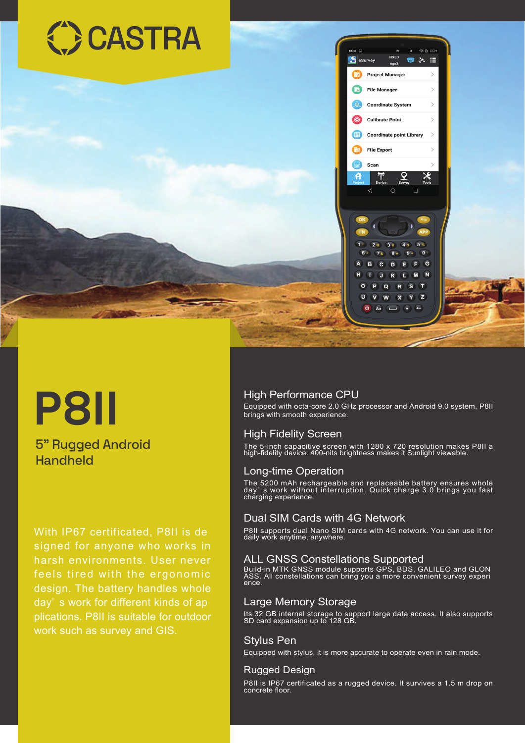

# **P8II**

### 5" Rugged Android Handheld

With IP67 certificated, P8II is de signed for anyone who works in feels tired with the ergonomic design. The battery handles whole day' s work for different kinds of ap plications. P8II is suitable for outdoor work such as survey and GIS.

#### High Performance CPU

Equipped with octa-core 2.0 GHz processor and Android 9.0 system, P8II brings with smooth experience.

#### High Fidelity Screen

The 5-inch capacitive screen with 1280 x 720 resolution makes P8II a high-fidelity device. 400-nits brightness makes it Sunlight viewable.

#### Long-time Operation

The 5200 mAh rechargeable and replaceable battery ensures whole day' s work without interruption. Quick charge 3.0 brings you fast charging experience.

#### Dual SIM Cards with 4G Network

P8II supports dual Nano SIM cards with 4G network. You can use it for daily work anytime, anywhere.

#### ALL GNSS Constellations Supported

Build-in MTK GNSS module supports GPS, BDS, GALILEO and GLON ASS. All constellations can bring you a more convenient survey experi ence.

#### Large Memory Storage

Its 32 GB internal storage to support large data access. It also supports SD card expansion up to 128 GB.

#### Stylus Pen

Equipped with stylus, it is more accurate to operate even in rain mode.

#### Rugged Design

P8II is IP67 certificated as a rugged device. It survives a 1.5 m drop on concrete floor.